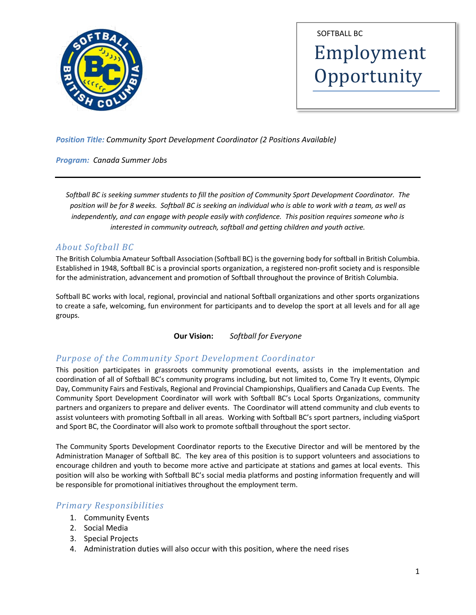

Employment **Opportunity** SOFTBALL BC

*Position Title: Community Sport Development Coordinator (2 Positions Available)*

*Program: Canada Summer Jobs*

*Softball BC is seeking summer students to fill the position of Community Sport Development Coordinator. The position will be for 8 weeks. Softball BC is seeking an individual who is able to work with a team, as well as independently, and can engage with people easily with confidence. This position requires someone who is interested in community outreach, softball and getting children and youth active.* 

# *About Softball BC*

The British Columbia Amateur Softball Association (Softball BC) is the governing body for softball in British Columbia. Established in 1948, Softball BC is a provincial sports organization, a registered non-profit society and is responsible for the administration, advancement and promotion of Softball throughout the province of British Columbia.

Softball BC works with local, regional, provincial and national Softball organizations and other sports organizations to create a safe, welcoming, fun environment for participants and to develop the sport at all levels and for all age groups.

**Our Vision:** *Softball for Everyone*

# Purpose of the Community Sport Development Coordinator

This position participates in grassroots community promotional events, assists in the implementation and coordination of all of Softball BC's community programs including, but not limited to, Come Try It events, Olympic Day, Community Fairs and Festivals, Regional and Provincial Championships, Qualifiers and Canada Cup Events. The Community Sport Development Coordinator will work with Softball BC's Local Sports Organizations, community partners and organizers to prepare and deliver events. The Coordinator will attend community and club events to assist volunteers with promoting Softball in all areas. Working with Softball BC's sport partners, including viaSport and Sport BC, the Coordinator will also work to promote softball throughout the sport sector.

The Community Sports Development Coordinator reports to the Executive Director and will be mentored by the Administration Manager of Softball BC. The key area of this position is to support volunteers and associations to encourage children and youth to become more active and participate at stations and games at local events. This position will also be working with Softball BC's social media platforms and posting information frequently and will be responsible for promotional initiatives throughout the employment term.

# *Primary Responsibilities*

- 1. Community Events
- 2. Social Media
- 3. Special Projects
- 4. Administration duties will also occur with this position, where the need rises